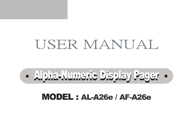## MODEL : AL-A26e / AF-A26e



# USER MANUAL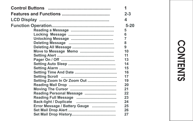|                               | 1              |
|-------------------------------|----------------|
|                               | $2 - 3$        |
|                               | 4              |
|                               | $5 - 20$       |
|                               | 5              |
|                               | 6              |
|                               | $\overline{7}$ |
|                               | 8              |
|                               | 9              |
| Move to Message Memo          | 10             |
|                               | 11             |
|                               | 13             |
|                               | 14             |
|                               | 15             |
|                               | 16             |
|                               | 17             |
| Setting Zoom In Or Zoom Out   | 19             |
|                               | 20             |
|                               | 21             |
| Reading Personal Message      | 22             |
|                               | 23             |
|                               | 24             |
| Error Message / Battery Gauge | 25             |
|                               | 26             |
|                               | 27             |

# **CONTENTS**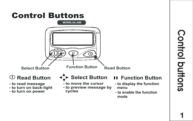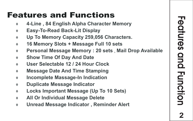## **Features and Functions**

- 7 **4-Line , 84 English Alpha Character Memory**
- 7 **Easy-To-Read Back-Lit Display**
- 7 **Up To Memory Capacity 259,056 Characters.**
- 7 **16 Memory Slots + Message Full 10 sets**
- 7 **Personal Message Memory : 20 sets** , **Mail Drop Available**
- 7 **Show Time Of Day And Date**
- 7 **User Selectable 12 / 24 Hour Clock**
- 7 **Message Date And Time Stamping**
- 7 **Incomplete Massage-In Indication**
- 7 **Duplicate Message Indicator**
- 7 **Locks Important Message (Up To 10 Sets)**
- 7 **All Or Individual Message Delete**
- 7 **Unread Message Indicator , Reminder Alert**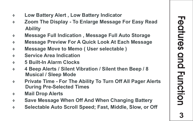- 7 **Low Battery Alert , Low Battery Indicator**
- 7 **Zoom The Display To Enlarge Message For Easy Read Ability**
- 7 **Message Full Indication , Message Full Auto Storage**
- 7 **Message Preview For A Quick Look At Each Message**
- 7 **Message Move to Memo ( User selectable )**
- 7 **Service Area Indication**
- 7 **5 Built-In Alarm Clocks**
- 7 **4 Beep Alerts / Silent Vibration / Silent then Beep / 8 Musical / Sleep Mode**
- 7 **Private Time For The Ability To Turn Off All Pager Alerts During Pre-Selected Times**
- 7 **Mail Drop Alerts**
- 7 **Save Message When Off And When Changing Battery**
- 7 **Selectable Auto Scroll Speed; Fast, Middle, Slow, or Off**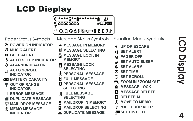# LCD Display



- **POWER ON INDICATOR**
- **MUSIC ALERT**
- **BEEP ALERT**
- **AUTO SLEEP INDICATOR**
- **ALARM INDICATOR**
- **AUTO SCROLL INDICATOR**
- **BATTERY CAPACITY**
- **OUT OF RANGE INDICATOR**
- **ERROR MESSAGE**
- **DUPLICATE MESSAGE**
- **MAIL DROP MESSAGE**
- **MEMO MESSAGE**
- **INDICATOR**
- Pager Status Symbols Message Status Symbols Function Menu Symbols
	- **MESSAGE IN MEMORY**
	- **MESSAGE SELECTING**
	- **MESSAGE LOCK IN MEMORY**
	- **MESSAGE LOCK SELECTING**
	- **PERSONAL MESSAGE**
	- **FULL MESSAGE**
	- **PERSONAL MESSAGE SELECTING**
	- **FULL MESSAGE** 
		- **SELECTING**
	- **MAILDROP IN MEMORY** ×
	- **MAILDROP SELECTING**
	- **DUPLICATE MESSAGE**

## **UP OR ESCAPE**

- **CLERT**
- **PAGER OFF**
- **SET AUTO SLEEP**
- **A** SET ALARM
- **SET TIME**
- **SET SCROLL**
- **ZOOM IN / ZOOM OUT**
- **MESSAGE LOCK**
- **MESSAGE DELETE**
- П **DELETE ALL**
- **MOVE TO MEMO**
- **MAIL DROP ALERT** Þ
- **HISTORY**

## $\overline{\Omega}$ <u>ದ</u>್ D D ਹ  $\overline{\mathbf{o}}$  $\prec$

**4**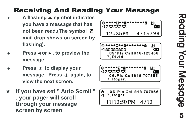## Receiving And Reading Your Message

- A flashing ▲ symbol indicates **you have a message that has not been read.(The symbol mail drop shows on screen by flashing).**
- **Press < or ►, to preview the message.**
- **Press**  $\oplus$  **to display your message.** Press  $\circledcirc$  again, to **view the next screen.**
- If you have set " Auto Scroll " **, your pager will scroll through your message screen by screen**

| ॱ▲▲▲▲ <sub>Ω</sub> ▲▲ <sub>@</sub> ▲▲▲▲▲▲▲<br>mana man |           |  |
|--------------------------------------------------------|-----------|--|
| 12:35PM                                                | 4715798 I |  |





06:Pls Call818-707856  $\odot$ ă 7. Roger

 $[1112:50 P M]$  $4/12$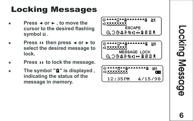## **Locking Messages**

- **Press < or ► , to move the cursor to the desired flashing symbol .**
- **Press ii then press < or ► to select the desired message to lock.**
- Press  $\overline{\mathbf{u}}$  to lock the message.
- The symbol "**d**" is displayed, **indicating the status of the message in memory .**

| *∸8<br>Иł<br>ESCAPE            |
|--------------------------------|
| QO@4⊅®q#@08₹                   |
|                                |
| ∙∸⊟<br>Иł                      |
| q,                             |
| <b>MESSAGE LOCK</b>            |
| <b>€ 29 ♦ ↑↑ ♦ ♦ ♦ ♦ ♦ ♦ ♦</b> |
|                                |
| И₹<br>٠в                       |
| ⊲                              |
| 12:35PM<br>4/15/98             |

Locking Message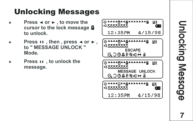## Unlocking Messages

- **Press < or ►, to move the cursor to the lock message to unlock.**
- **Press**  $\mathbf{u}$ , then, press  $\blacktriangleleft$  or  $\blacktriangleright$ , **to " MESSAGE UNLOCK " Mode.**
- **Press II** , to unlock the **message.**



Unlocking Message **7**Un ol ck ni g Message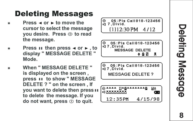## Deleting Messages

- **Press**  $\triangleleft$  **or**  $\triangleright$  **to move the cursor to select the message you desire. Press (b) to read the message.**
- **Press II then press < or > to display " MESSAGE DELETE " Mode.**
- When " MESSAGE DELETE " **is displayed on the screen , press II to show " MESSAGE DELETE ? " on the screen , If you want to delete then press to delete the message. If you**  do not want, press  $\circlearrowright$  to quit.

05: Pls Call 818-123456 7 Divid. Ā  $[1112:30$  PM  $4112$ 

05: Pls Call 818-123456 la 7. Divid. MESSAGE DELETE 4 8 Ŭ

05: Pls Call 818-123456 a z Divid.

MESSAGE DELETE ?



**Beleting Message** as **Deleting Message**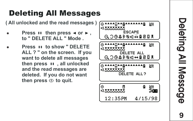## Deleting All Messages

**( All unlocked and the read messages )**

- $*$ **Press II then press**  $\triangleleft$  **or**  $\triangleright$ **. to " DELETE ALL " Mode .**
- **Press to show " DELETE ALL ? " on the screen. If you want to delete all messages**  then press  $\boldsymbol{\mathsf{u}}$  . all unlocked **and the read messages are deleted. If you do not want**  then press  $\oplus$  to quit.



ወ  $\overline{\Phi}$  $\, = \,$ **Deleting All M** essage

**9**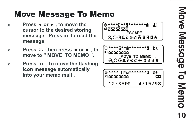## Mo ve Message To Memo

- **Press**  $\triangleleft$  **or**  $\triangleright$  , to move the **cursor to the desired storing message.** Press  $\textbf{H}$  to read the **message.**
- **Press**  $\circledcirc$  then press  $\triangleleft$  or  $\triangleright$ , to **move to " MOVE TO MEMO ".**
- **Press II**, to move the flashing **icon message automatically into your memo mail .**

| ٠8<br>Иŧ<br>ESCAPE<br>A 3049®⊄ <del>Ä</del> 805€    |
|-----------------------------------------------------|
| ***5<br>иғ<br>MOVE TO MEMO<br>A 3 ® 4 ↔ ® ⊄ 4 ® ® £ |
| ۰A<br>И£<br>4/15/98<br>12.35PM                      |

Move Message To Memo **0**Move Message To Memo**1**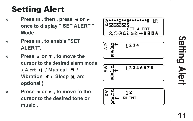## Setting Alert

- **Press II**, then, press < or  $\triangleright$ **once to display " SET ALERT " Mode .**
- **Press II. to enable "SET ALERT".**
- **Press A or**  $\blacktriangledown$  **, to move the cursor to the desired alarm mode .(Alert <b>d** / Musical **F** / Vibration **A** / Sleep **a** are **optional )**
- Press < or ►, to move to the **cursor to the desired tone or music .**



**မ**  $\vec{\mathsf{s}}$  $\overline{\mathbf{0}}$ tting Alert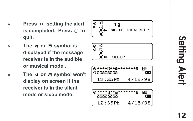- **Press II setting the alert** is completed. Press  $\oplus$  to **quit.**
- F **The or symbol is displayed if the message receiver is in the audible or musical mode .**
- The  $\leq$  or  $\overline{H}$  symbol won't **display on screen if the receiver is in the silent mode or sleep mode.**

$$
\begin{array}{c}\n\begin{array}{c}\n\odot & 1 \\
\odot & 1 \\
\hline\n\end{array} \\
\bullet & \text{SLENT THEN BEEP} \\
\hline\n\end{array}
$$

$$
\begin{array}{c}\n\circ \mathbf{q} \\
\downarrow \\
\hline\n\mathbf{q} \\
\hline\n\mathbf{M} \leftarrow \text{SLEEP}\n\end{array}
$$

$$
\begin{bmatrix}\n\frac{\text{0}}{4} & \text{0} & \text{0} & \text{0} & \text{0} & \text{0} \\
\frac{1}{2} & \text{0} & \text{0} & \text{0} & \text{0} & \text{0} \\
\frac{1}{2} & \text{0} & \text{0} & \text{0} & \text{0} & \text{0} & \text{0}\n\end{bmatrix}
$$

Se t ni el rt t g A

**1 2**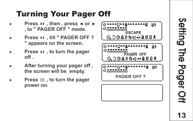## Turning Your P ager Of f

- **Press II**, then, press < or  $\triangleright$ **, to " PAGER OFF " mode.**
- **Press II. till " PAGER OFF? " appears on the screen.**
- **Press II**, to turn the pager **off .**
- After turning your pager off, **the screen will be empty .**
- **Press**  $\circledcirc$ **, to turn the pager power on.**



**1 3** Sett 3  $\boldsymbol{\Omega}$ **The** Pager Off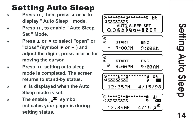## **Setting Auto Sleep**

- **Press II. then, press < or**  $\triangleright$  **to display " Auto Sleep " mode.**
- **Press II. to enable " Auto Sleep Set " Mode.**
- **Press A or**  $\blacktriangledown$  **to select "open" or** "close" (symbol  $\rightarrow$  or  $-$  ) and adjust the digits, press  $\triangleleft$  or  $\triangleright$  for **moving the cursor .**
- **Press II setting auto sleep mode is completed. The screen returns to stand-by status.**
- F **is displayed when the Auto Sleep mode is set.**
- The enable  $\overline{z}$  symbol **indicates your pager is during setting status.**



Setting **4**Selting Auto Sleep **Auto Sleep**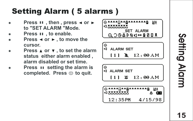# Setting Alarm **5**<br>Seffing<br>Algrin<br> **15**

## Setting Alarm ( 5 alarms )

- **Press II**, then, press < or  $\triangleright$ **to "SET ALARM "Mode.**
- 
- **Press II**, to enable.<br>**Press < or > to move the cursor.**
- **Press** ▲ or ▼, to set the alarm **status either alarm enabled , alarm disabled or set time.**
- **Press II setting the alarm is** completed. Press (b) to quit.

ИŦ <1 MMMMMM SET ALARM  $\begin{bmatrix} \odot \\ \hdash \end{bmatrix}$  ALARM SET  $111 \& 12.00 AM$ 6) ALARM SET  $12:00 \,\mathrm{AM}$  $[1]$ **Δ**  $\sigma$ \*\*\*\*\*\*\*\*\*\*\*\*\*\* ИŦ **ELMAMMAM** œ 12:35PM 4/15/98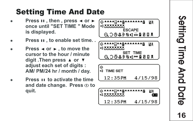## Setting Time And Date

- **Press II**, then, press ◀ or ▶ **once until "SET TIME " Mode is displayed.**
- **Press II. to enable set time...**
- **Press**  $\triangleleft$  **or**  $\triangleright$  **, to move the cursor to the hour / minute**  digit .Then press ▲ or ▼ **adjust each set of digits : AM/ PM/24 hr / month / day .**
- **Press II to activate the time** and date change. Press (b to **quit.**



**6** Setting Time And Date Setting Time And Date **1**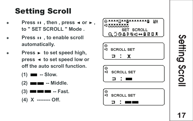## Setting Scroll

- **Press II**, then, press < or  $\triangleright$ . **to " SET SCROLL " Mode .**
- **Press II** , to enable scroll **automatically .**
- Press ► to set speed high, press < to set speed low or **off the auto scroll function.**
	- $(1)$   $\blacksquare$  -- Slow.
	- **(2) -- Middle.**
	- **(3) -- Fast.**
	- **(4) X -------- Off.**



Setting Scroll **7**Setting Scroll<br> **17**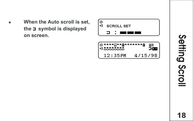When the Auto scroll is set. **the symbol is displayed on screen.**



Setting Scroll **8**Setting Scroll<br>Setting Scroll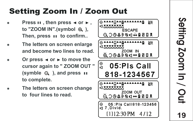## Setting Zoom In / Zoom Out

- **Press**  $\mathbf{H}$  , then press  $\blacktriangleleft$  or  $\blacktriangleright$ . to "ZOOM IN".(symbol  $\Theta$ , ), Then, press **u** to confirm...
- F **The letters on screen enlarge and become two lines to read.**
- Or press  $\triangleleft$  or  $\triangleright$  to move the **cursor again to " ZOOM OUT " (symble**  $\Theta$ **), and press <b>II to complete.**
- F **The letters on screen change to four lines to read.**

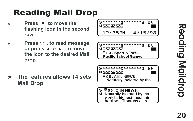# g Mail Drop

- **Press v** to move the **flashing icon in the second row .**
- **Press (I) . to read message or press**  $\rightarrow$  **or ► , to move the icon to the desired Mail drop. Readin**<br>
Press **v**<br>
flashing<br>
row.<br>
Press ①<br>
or press<br>
the icon<br>
drop.<br>
The featur<br>
Mail Drop





\* The features allows 14 sets



Naturally isolated by the world's highest mountain barriers. Tibetans also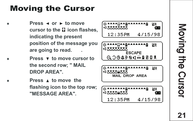## **Moving the Cursor**

- **Press**  $\triangleleft$  **or**  $\triangleright$  **to move cursor to the il icon flashes. indicating the present position of the message you are going to read. .**
	- **Press v** to move cursor to **the second row; " MAIL DROP AREA".**
		- **Press A to move the flashing icon to the top row; "MESSAGE AREA".**



Mov 3  $\boldsymbol{\Omega}$ き ወ **Cursor**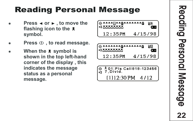## **Reading Personal Message**

- **Press**  $\triangleleft$  **or**  $\triangleright$  **, to move the flashing icon to the symbol.**
- Press (I), to read message.
- When the  $\neq$  symbol is **shown in the top left-hand corner of the display , this indicates the message status as a personal message.**

| [⊙▲▲▲▲;;▲▲@▲▲▲▲▲▲▲<br>IEMAAAAAAA |           |  |
|----------------------------------|-----------|--|
| 12:35PM                          | 4/15/98 l |  |

| @&&&&&&& <b>@</b> &&&&&&&<br><b><lexalese< b=""></lexalese<></b> |           |  |
|------------------------------------------------------------------|-----------|--|
| 12:35PM                                                          | 4715798 l |  |

$$
\begin{array}{c}\n\textcircled{3} \overline{3} \text{ 01:PIs} \text{ Call818-123456} \\
\textcircled{4} \overline{7} \text{ , Divid.} \\
\textcircled{1112:30 PM} \quad 4/12\n\end{array}
$$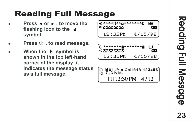## **Reading Full Message**

- **Press < or ►, to move the flashing icon to the symbol.**
- Press  $\oplus$ , to read message.
- When the **u** symbol is **shown in the top left-hand corner of the display ,it indicates the message status as a full message.**





$$
\begin{array}{c|c}\n\hline\n\text{Q} & \text{M01:PIs} \\
\hline\n\text{Q} & 7, \text{Divid.} \\
\hline\n\end{array}
$$
\n
$$
\begin{array}{c}\n\text{L1112:30 PM} & 4/12\n\end{array}
$$

**2 3** 3 **limited** Reading Full Message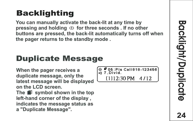## **Backlighting**

**You can manually activate the back-lit at any time by pressing and holding (b) for three seconds . If no other buttons are pressed, the back-lit automatically turns off when the pager returns to the standby mode .**

## Duplicate Message

**When the pager receives a duplicate message, only the latest message will be displayed on the LCD screen. The** symbol shown in the top **left-hand corner of the display , indicates the message status as a "Duplicate Message".**

© #05:PIs Call818-123456  $[1112:30$  PM  $4/12$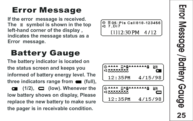**If the error message is received. The symbol is shown in the top left-hand corner of the display , indicates the message status as a Error Message**<br>If the error message is receive<br>The **ight** symbol is shown in the<br>left-hand corner of the display<br>indicates the message status a<br>Error message.

## **Battery Gauge**

**The battery indicator is located on the status screen and keeps you informed of battery energy level. The**  three indicators range from **(full)**,  $(1/2)$ ,  $\Box$  (low). Whenever the **low battery shows on display, Please replace the new battery to make sure the pager is in receivable condition.**

05:Pls Call 818-123456 Ā  $7.017$  $[1112:30$  PM  $4/12$ 

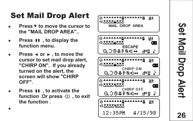## Set Mail Drop Aler t

- **Press V to move the cursor to the "MAIL DROP AREA"..**
- **Press II**, to display the **function menu.**
- **Press**  $\triangleleft$  **or**  $\triangleright$  **, to move the cursor to set mail drop alert, "CHIRP ON". If you already turned on the alert, the screen will show "CHIRP OFF".**
- **Press II**, to activate the function .Or press  $\circlearrowleft$ , to exit **the function .** F



**2**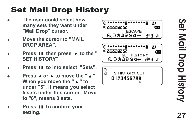## Set Mail Drop History

- The user could select how **many sets they want under "Mail Drop" cursor .**
- **Move the cursor to "MAIL DROP AREA".**
- Press **II** then press ► to the " **SET HISTORY"**
- **Press II to into select "Sets".**
- **Press**  $\triangleleft$  **or**  $\triangleright$  **to move the "** $\triangle$ **" When you move the "**  $\triangle$  **" to under "5", it means you select 5 sets under this cursor. Move to "8", means 8 sets.**
- **Press II to confirm your setting.**



*Pet Mail Drop History* Set Mail Drop History